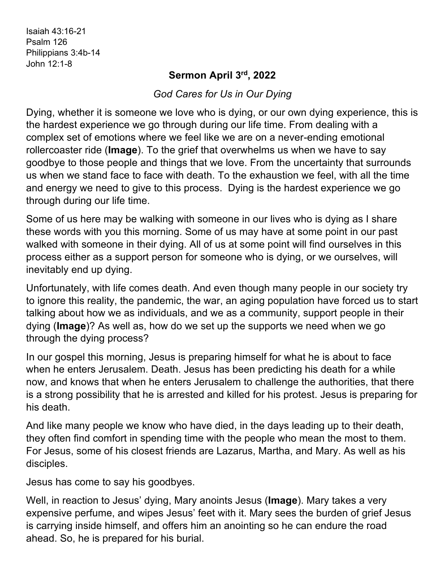Isaiah 43:16-21 Psalm 126 Philippians 3:4b-14 John 12:1-8

## **Sermon April 3rd, 2022**

*God Cares for Us in Our Dying*

Dying, whether it is someone we love who is dying, or our own dying experience, this is the hardest experience we go through during our life time. From dealing with a complex set of emotions where we feel like we are on a never-ending emotional rollercoaster ride (**Image**). To the grief that overwhelms us when we have to say goodbye to those people and things that we love. From the uncertainty that surrounds us when we stand face to face with death. To the exhaustion we feel, with all the time and energy we need to give to this process. Dying is the hardest experience we go through during our life time.

Some of us here may be walking with someone in our lives who is dying as I share these words with you this morning. Some of us may have at some point in our past walked with someone in their dying. All of us at some point will find ourselves in this process either as a support person for someone who is dying, or we ourselves, will inevitably end up dying.

Unfortunately, with life comes death. And even though many people in our society try to ignore this reality, the pandemic, the war, an aging population have forced us to start talking about how we as individuals, and we as a community, support people in their dying (**Image**)? As well as, how do we set up the supports we need when we go through the dying process?

In our gospel this morning, Jesus is preparing himself for what he is about to face when he enters Jerusalem. Death. Jesus has been predicting his death for a while now, and knows that when he enters Jerusalem to challenge the authorities, that there is a strong possibility that he is arrested and killed for his protest. Jesus is preparing for his death.

And like many people we know who have died, in the days leading up to their death, they often find comfort in spending time with the people who mean the most to them. For Jesus, some of his closest friends are Lazarus, Martha, and Mary. As well as his disciples.

Jesus has come to say his goodbyes.

Well, in reaction to Jesus' dying, Mary anoints Jesus (**Image**). Mary takes a very expensive perfume, and wipes Jesus' feet with it. Mary sees the burden of grief Jesus is carrying inside himself, and offers him an anointing so he can endure the road ahead. So, he is prepared for his burial.